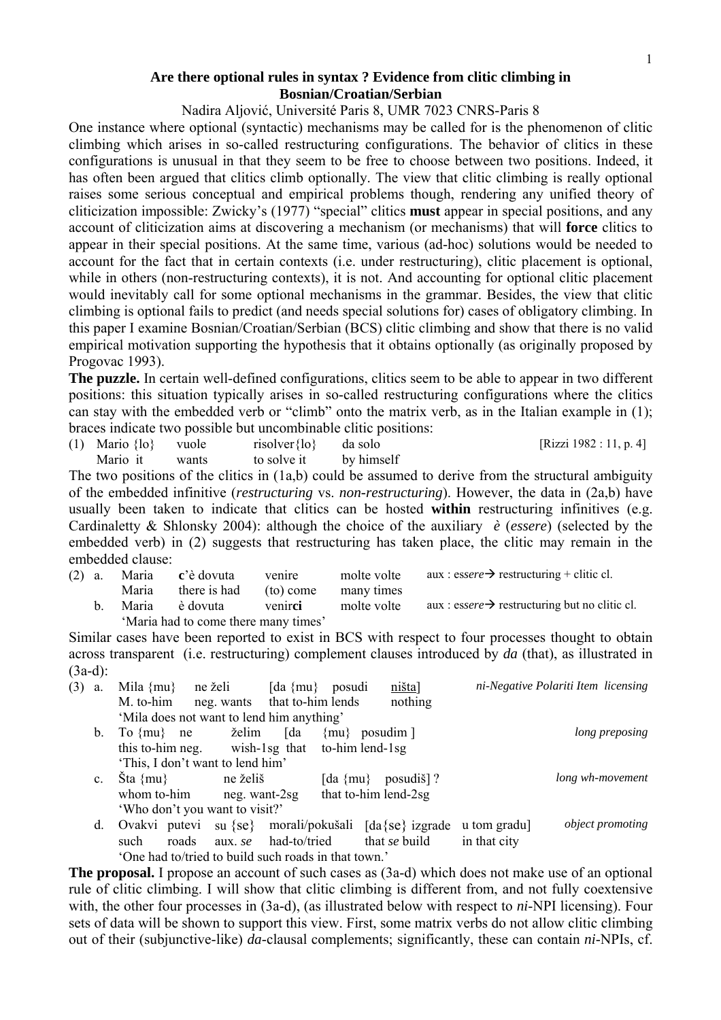## **Are there optional rules in syntax ? Evidence from clitic climbing in Bosnian/Croatian/Serbian**

## Nadira Aljović, Université Paris 8, UMR 7023 CNRS-Paris 8

One instance where optional (syntactic) mechanisms may be called for is the phenomenon of clitic climbing which arises in so-called restructuring configurations. The behavior of clitics in these configurations is unusual in that they seem to be free to choose between two positions. Indeed, it has often been argued that clitics climb optionally. The view that clitic climbing is really optional raises some serious conceptual and empirical problems though, rendering any unified theory of cliticization impossible: Zwicky's (1977) "special" clitics **must** appear in special positions, and any account of cliticization aims at discovering a mechanism (or mechanisms) that will **force** clitics to appear in their special positions. At the same time, various (ad-hoc) solutions would be needed to account for the fact that in certain contexts (i.e. under restructuring), clitic placement is optional, while in others (non-restructuring contexts), it is not. And accounting for optional clitic placement would inevitably call for some optional mechanisms in the grammar. Besides, the view that clitic climbing is optional fails to predict (and needs special solutions for) cases of obligatory climbing. In this paper I examine Bosnian/Croatian/Serbian (BCS) clitic climbing and show that there is no valid empirical motivation supporting the hypothesis that it obtains optionally (as originally proposed by Progovac 1993).

**The puzzle.** In certain well-defined configurations, clitics seem to be able to appear in two different positions: this situation typically arises in so-called restructuring configurations where the clitics can stay with the embedded verb or "climb" onto the matrix verb, as in the Italian example in (1); braces indicate two possible but uncombinable clitic positions:

(1) Mario  $\{|\mathbf{0}\}\$  vuole risolver $\{|\mathbf{0}\}\$  da solo [Rizzi 1982 : 11, p. 4] Mario it wants to solve it by himself

The two positions of the clitics in (1a,b) could be assumed to derive from the structural ambiguity of the embedded infinitive (*restructuring* vs. *non-restructuring*). However, the data in (2a,b) have usually been taken to indicate that clitics can be hosted **within** restructuring infinitives (e.g. Cardinaletty & Shlonsky 2004): although the choice of the auxiliary *è* (*essere*) (selected by the embedded verb) in (2) suggests that restructuring has taken place, the clitic may remain in the embedded clause:

|  | (2) a. Maria c'è dovuta venire          |  | molte volte aux : essere $\rightarrow$ restructuring + clitic cl. |
|--|-----------------------------------------|--|-------------------------------------------------------------------|
|  | Maria there is had (to) come many times |  |                                                                   |

b. Maria è dovuta venirci molte volte aux : essere $\rightarrow$  restructuring but no clitic cl. 'Maria had to come there many times'

Similar cases have been reported to exist in BCS with respect to four processes thought to obtain across transparent (i.e. restructuring) complement clauses introduced by *da* (that), as illustrated in (3a-d):

| (3) | a.      | Mila $\{mu\}$                                        | ne želi                                             | [da ${mu}$ ] | posudi          | $ni$ {šta}]          |              | ni-Negative Polariti Item licensing |  |  |
|-----|---------|------------------------------------------------------|-----------------------------------------------------|--------------|-----------------|----------------------|--------------|-------------------------------------|--|--|
|     |         | M. to-him                                            | neg. wants that to-him lends                        |              |                 | nothing              |              |                                     |  |  |
|     |         | 'Mila does not want to lend him anything'            |                                                     |              |                 |                      |              |                                     |  |  |
|     | $b_{-}$ | To $\{mu\}$<br>ne                                    | želim                                               | [da          | $\{mu\}$        | posudim ]            |              | long preposing                      |  |  |
|     |         | this to-him neg.<br>wish-1sg that<br>to-him lend-1sg |                                                     |              |                 |                      |              |                                     |  |  |
|     |         | 'This, I don't want to lend him'                     |                                                     |              |                 |                      |              |                                     |  |  |
|     | c.      | $\text{Sta } \{mu\}$                                 | ne želiš                                            |              | [da ${mu}$ }    | posudiš]?            |              | long wh-movement                    |  |  |
|     |         | whom to-him                                          | neg. want-2sg                                       |              |                 | that to-him lend-2sg |              |                                     |  |  |
|     |         | 'Who don't you want to visit?'                       |                                                     |              |                 |                      |              |                                     |  |  |
|     | d.      | Ovakvi putevi<br>su $\{se\}$                         |                                                     |              | morali/pokušali | $\{da\}$ se izgrade  | u tom gradu] | <i>object promoting</i>             |  |  |
|     |         | roads<br>such<br>aux. se                             |                                                     | had-to/tried |                 | that se build        | in that city |                                     |  |  |
|     |         |                                                      | 'One had to/tried to build such roads in that town' |              |                 |                      |              |                                     |  |  |

**The proposal.** I propose an account of such cases as (3a-d) which does not make use of an optional rule of clitic climbing. I will show that clitic climbing is different from, and not fully coextensive with, the other four processes in (3a-d), (as illustrated below with respect to *ni*-NPI licensing). Four sets of data will be shown to support this view. First, some matrix verbs do not allow clitic climbing out of their (subjunctive-like) *da*-clausal complements; significantly, these can contain *ni*-NPIs, cf.